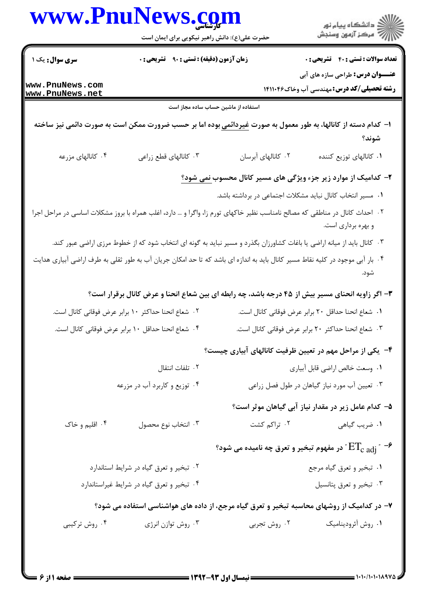|                        | حضرت علی(ع): دانش راهبر نیکویی برای ایمان است                                                                                 |                                                            |                                                                                  |
|------------------------|-------------------------------------------------------------------------------------------------------------------------------|------------------------------------------------------------|----------------------------------------------------------------------------------|
| <b>سری سوال :</b> یک ۱ | <b>زمان آزمون (دقیقه) : تستی : ۹۰٪ تشریحی : 0</b>                                                                             |                                                            | <b>عداد سوالات : تستی : 40 قشریحی : 0</b>                                        |
| www.PnuNews.com        |                                                                                                                               |                                                            | <b>عنـــوان درس:</b> طراحی سازه های آبی                                          |
| www.PnuNews.net        |                                                                                                                               |                                                            | <b>رشته تحصیلی/کد درس: مهندسی آب وخاک۱۴۱۱۰۴۶</b>                                 |
|                        | استفاده از ماشین حساب ساده مجاز است                                                                                           |                                                            |                                                                                  |
|                        | ا– کدام دسته از کانالها، به طور معمول به صورت <u>غیردائمی</u> بوده اما بر حسب ضرورت ممکن است به صورت دائمی نیز ساخته          |                                                            |                                                                                  |
|                        |                                                                                                                               |                                                            | شوند؟                                                                            |
| ۰۴ کانالهای مزرعه      | ۰۳ کانالهای قطع زراعی                                                                                                         | ۰۲ کانالهای آبرسان                                         | ۰۱ كانالهاى توزيع كننده                                                          |
|                        |                                                                                                                               |                                                            | ۲- کدامیک از موارد زیر جزء ویژگی های مسیر کانال محسوب <u>نمی شود؟</u>            |
|                        |                                                                                                                               | ۰۱ مسیر انتخاب کانال نباید مشکلات اجتماعی در برداشته باشد. |                                                                                  |
|                        | ۰۲ احداث کانال در مناطقی که مصالح نامناسب نظیر خاکهای تورم زا، واگرا و … دارد، اغلب همراه با بروز مشکلات اساسی در مراحل اجرا  |                                                            | و بهره برداری است.                                                               |
|                        | ۰۳ کانال باید از میانه اراضی یا باغات کشاورزان بگذرد و مسیر نباید به گونه ای انتخاب شود که از خطوط مرزی اراضی عبور کند.       |                                                            |                                                                                  |
|                        | ۰۴ بار آبی موجود در کلیه نقاط مسیر کانال باید به اندازه ای باشد که تا حد امکان جریان آب به طور ثقلی به طرف اراضی آبیاری هدایت |                                                            | شود.                                                                             |
|                        | ۳- اگر زاویه انحنای مسیر بیش از ۴۵ درجه باشد، چه رابطه ای بین شعاع انحنا و عرض کانال برقرار است؟                              |                                                            |                                                                                  |
|                        | ۰۲ شعاع انحنا حداکثر ۱۰ برابر عرض فوقانی کانال است.                                                                           |                                                            | ٠١ شعاع انحنا حداقل ٢٠ برابر عرض فوقاني كانال است.                               |
|                        | ۰۴ شعاع انحنا حداقل ۱۰ برابر عرض فوقانی کانال است.                                                                            |                                                            | ۰۳ شعاع انحنا حداكثر ۲۰ برابر عرض فوقاني كانال است.                              |
|                        |                                                                                                                               |                                                            | ۴– یکی از مراحل مهم در تعیین ظرفیت کانالهای آبیاری چیست؟                         |
|                        | ٠٢ تلفات انتقال                                                                                                               |                                                            | ٠١ وسعت خالص اراضي قابل أبياري                                                   |
|                        | ۰۴ توزیع و کاربرد آب در مزرعه                                                                                                 |                                                            | ۰۳ تعیین آب مورد نیاز گیاهان در طول فصل زراعی                                    |
|                        |                                                                                                                               |                                                            | ۵– کدام عامل زیر در مقدار نیاز آبی گیاهان موثر است؟                              |
| ۰۴ اقلیم و خاک         | ۰۳ انتخاب نوع محصول                                                                                                           | ۰۲ تراکم کشت                                               | ٠١ ضريب گياهي                                                                    |
|                        |                                                                                                                               |                                                            | °در مفهوم تبخیر و تعرق چه نامیده می شود " $\mathrm{ET_{c\,\,adj}}$ $\rightarrow$ |
|                        | ۰۲ تبخیر و تعرق گیاه در شرایط استاندارد                                                                                       |                                                            | ۰۱ تبخیر و تعرق گیاه مرجع                                                        |
|                        | ۰۴ تبخیر و تعرق گیاه در شرایط غیراستاندارد                                                                                    |                                                            | ۰۳ تبخير و تعرق پتانسيل                                                          |
|                        | ۷– در کدامیک از روشهای محاسبه تبخیر و تعرق گیاه مرجع، از داده های هواشناسی استفاده می شود؟                                    |                                                            |                                                                                  |
| ۰۴ روش ترکیبی          | ۰۳ روش توازن انرژی                                                                                                            | ۰۲ روش تجربی                                               | ۰۱ روش آئروديناميک                                                               |
|                        |                                                                                                                               |                                                            |                                                                                  |
|                        |                                                                                                                               |                                                            |                                                                                  |
|                        |                                                                                                                               |                                                            |                                                                                  |

www.PnuNews.com

ے<br>کا اللہ کا دانشگاہ پیام نور<br>کا اللہ کا توہین وسنجش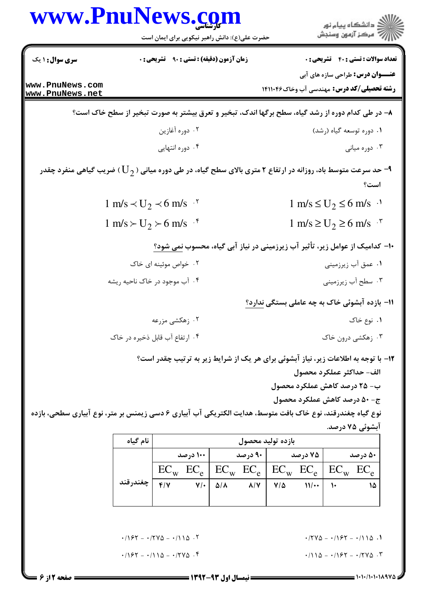|                                    | www.PnuNews.com<br>حضرت علی(ع): دانش راهبر نیکویی برای ایمان است | انشگاه پيام نور)<br>استخاب پيام نور)                                                                                                     |
|------------------------------------|------------------------------------------------------------------|------------------------------------------------------------------------------------------------------------------------------------------|
| <b>سری سوال : ۱ یک</b>             | زمان آزمون (دقیقه) : تستی : ۹۰٪ تشریحی : ۰                       | <b>تعداد سوالات : تستی : 40 قشریحی : 0</b>                                                                                               |
| www.PnuNews.com<br>www.PnuNews.net |                                                                  | <b>عنـــوان درس:</b> طراحی سازه های آبی<br><b>رشته تحصیلی/کد درس: م</b> هندسی آب وخاک۱۴۱۱۰۴۶                                             |
|                                    |                                                                  | ۸– در طی کدام دوره از رشد گیاه، سطح برگها اندک، تبخیر و تعرق بیشتر به صورت تبخیر از سطح خاک است؟                                         |
|                                    | ۰۲ دوره آغازين                                                   | ۰۱ دوره توسعه گیاه (رشد)                                                                                                                 |
|                                    | ۰۴ دوره انتهایی                                                  | ۰۳ دوره میانی                                                                                                                            |
|                                    |                                                                  | حد سرعت متوسط باد، روزانه در ارتفاع ۲ متری بالای سطح گیاه، در طی دوره میانی ( $\mathrm{U}_{2}$ ) ضریب گیاهی منفرد چقدر $\bullet$<br>است؟ |
|                                    | 1 m/s $\prec$ U <sub>2</sub> $\prec$ 6 m/s $\cdot$ <sup>r</sup>  | $1 \text{ m/s} \le U_2 \le 6 \text{ m/s}$ .                                                                                              |
|                                    | $1 \text{ m/s} \succ U_2 \succ 6 \text{ m/s}$ . <sup>*</sup>     | $1 \text{ m/s} \ge U_2 \ge 6 \text{ m/s}^{-1}$                                                                                           |
|                                    |                                                                  | ∙ا− کدامیک از عوامل زیر، تأثیر آب زیرزمینی در نیاز آبی گیاه، محسوب نمی شود؟                                                              |
|                                    | ۰۲ خواص موئینه ای خاک                                            | ۰۱ عمق آب زیرزمینی                                                                                                                       |
|                                    | ۰۴ آب موجود در خاک ناحیه ریشه                                    | ۰۳ سطح آب زیرزمینی                                                                                                                       |
|                                    |                                                                  | ۱۱– بازده آبشوئی خاک به چه عاملی بستگی ندارد؟                                                                                            |
|                                    | ۰۲ زهکشی مزرعه                                                   | ۰۱ نوع خاک                                                                                                                               |
|                                    | ۰۴ ارتفاع آب قابل ذخیره در خاک                                   | ۰۳ زهکشی درون خاک                                                                                                                        |
|                                    |                                                                  | ۱۲- با توجه به اطلاعات زیر، نیاز آبشوئی برای هر یک از شرایط زیر به ترتیب چقدر است؟                                                       |
|                                    |                                                                  | الف- حداكثر عملكرد محصول                                                                                                                 |
|                                    |                                                                  | ب- ۲۵ درصد کاهش عملکرد محصول<br>ج- ۵۰ درصد کاهش عملکرد محصول                                                                             |
|                                    |                                                                  |                                                                                                                                          |

نوع گیاه چغندرقند، نوع خاک بافت متوسط، هدایت الکتریکی آب آبیاری ۶ دسی زیمنس بر متر، نوع آبیاری سطحی، بازده آبشوئی ۷۵ درصد.

| نام گیاه | بازده توليد محصول |                            |                                                         |         |                            |                               |         |
|----------|-------------------|----------------------------|---------------------------------------------------------|---------|----------------------------|-------------------------------|---------|
|          |                   | ۱۰۰ درصد                   |                                                         | ۹۰ درصد |                            | ۷۵ درصد                       | ۵۰ درصد |
|          |                   |                            | $EC_w$ $EC_e$ $EC_w$ $EC_e$ $EC_w$ $EC_e$ $EC_w$ $EC_w$ |         |                            |                               |         |
| چغندرقند | $f/\gamma$        | $V/\cdot$ $\Delta/\Lambda$ |                                                         |         | $\lambda$ /Y   Y/ $\Delta$ | $\mathcal{W}$ + $\mathcal{W}$ |         |
|          |                   |                            |                                                         |         |                            |                               |         |

 $\cdot$  /۲۷۵ - - /۱۶۲ - -/۱۱۵.

 $.7110 - .797 - .7770$ 

 $1/157 - 1110 - 1770$ .

 $1/157 - 1790 - 1110$ .

 $= 1.1111111110$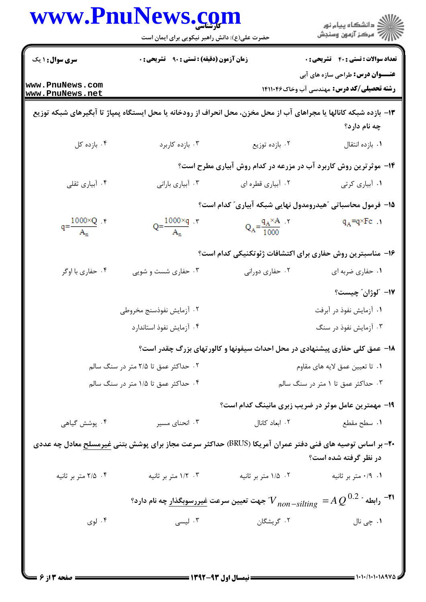|                                    | حضرت علی(ع): دانش راهبر نیکویی برای ایمان است                                                                           |                                                                                                                       | ڪ دانشڪاه پيام نور<br>7- مرڪز آزمون وسنڊش                                                   |
|------------------------------------|-------------------------------------------------------------------------------------------------------------------------|-----------------------------------------------------------------------------------------------------------------------|---------------------------------------------------------------------------------------------|
| <b>سری سوال :</b> ۱ یک             | زمان آزمون (دقیقه) : تستی : ۹۰٪ تشریحی : ۰                                                                              |                                                                                                                       | <b>تعداد سوالات : تستي : 40 - تشريحي : 0</b>                                                |
| www.PnuNews.com<br>www.PnuNews.net |                                                                                                                         |                                                                                                                       | <b>عنـــوان درس:</b> طراحی سازه های آبی<br><b>رشته تحصیلی/کد درس:</b> مهندسی آب وخاک۱۴۱۱۰۴۶ |
|                                    | ۱۳- بازده شبکه کانالها یا مجراهای آب از محل مخزن، محل انحراف از رودخانه یا محل ایستگاه پمپاژ تا آبگیرهای شبکه توزیع     |                                                                                                                       | چه نام دارد؟                                                                                |
| ۰۴ بازده کل                        | ۰۳ بازده کاربرد                                                                                                         | ۰۲ بازده توزیع                                                                                                        | ٠١. بازده انتقال                                                                            |
|                                    |                                                                                                                         | ۱۴- موثرترین روش کاربرد آب در مزرعه در کدام روش آبیاری مطرح است؟                                                      |                                                                                             |
| ۰۴ آبیاری ثقلی                     | ۰۳ آبیاری بارانی                                                                                                        | ۰۲ آبیاری قطره ای                                                                                                     | ٠١ أبياري كرتي                                                                              |
|                                    |                                                                                                                         | ۱۵– فرمول محاسباتی ؒهیدرومدول نهایی شبکه آبیاری ؒ کدام است؟                                                           |                                                                                             |
| $q = \frac{1000 \times Q}{A_n}$ .  | $Q = \frac{1000 \times q}{A_n}$ .                                                                                       | $Q_A = \frac{q_A \times A}{1000}$                                                                                     | $q_A = q \times Fc$                                                                         |
|                                    |                                                                                                                         | ۱۶– مناسبترین روش حفاری برای اکتشافات ژئوتکنیکی کدام است؟                                                             |                                                                                             |
| ۰۴ حفاري با اوگر                   | ۰۳ حفاری شست و شویی                                                                                                     | ۰۲ حفاری دورانی                                                                                                       | ٠١ حفاري ضربه اي                                                                            |
|                                    |                                                                                                                         |                                                                                                                       | ١٧- "لوژان" چيست؟                                                                           |
|                                    | ۰۲ آزمایش نفوذسنج مخروطی                                                                                                |                                                                                                                       | ۰۱ آزمایش نفوذ در آبرفت                                                                     |
|                                    | ۰۴ آزمایش نفوذ استاندارد                                                                                                |                                                                                                                       | ۰۳ آزمایش نفوذ در سنگ                                                                       |
|                                    |                                                                                                                         | ۱۸– عمق کلی حفاری پیشنهادی در محل احداث سیفونها و کالورتهای بزرگ چقدر است؟                                            |                                                                                             |
|                                    | ۰۲ حداکثر عمق تا ۲/۵ متر در سنگ سالم                                                                                    | ٠١ تا تعيين عمق لايه هاي مقاوم                                                                                        |                                                                                             |
|                                    | ۰۴ حداکثر عمق تا ۱/۵ متر در سنگ سالم                                                                                    | ۰۳ حداکثر عمق تا ۱ متر در سنگ سالم                                                                                    |                                                                                             |
|                                    |                                                                                                                         | ۱۹- مهمترین عامل موثر در ضریب زبری مانینگ کدام است؟                                                                   |                                                                                             |
| ۰۴ پوشش گیاهی                      | ۰۳ انحنای مسیر                                                                                                          | ۰۲ ابعاد کانال                                                                                                        | ٠١. سطح مقطع                                                                                |
|                                    | <b>۲۰</b> - بر اساس توصیه های فنی دفتر عمران آمریکا (BRUS) حداکثر سرعت مجاز برای پوشش بتنی <u>غیرمسلح</u> معادل چه عددی |                                                                                                                       | در نظر گرفته شده است؟                                                                       |
| ۰۴ ۲/۵ متر بر ثانیه                | ۰۳ ۱/۲ متر بر ثانیه                                                                                                     | ۰۲ ۱/۵ متر بر ثانیه                                                                                                   | ۰/۹ ۰/۹ متر بر ثانیه                                                                        |
|                                    |                                                                                                                         | ا ا $^{-1}$ رابطه " $\Omega^{0.2}$ $^{-1}$ $V$ $_{non-silting}$ جهت تعیین سرعت <u>غیررسوبگذار</u> چه نام دارد $^{-1}$ |                                                                                             |
| ۰۴ لوی                             | ۰۳ لیسی                                                                                                                 | ٢. گريشگان                                                                                                            | ۰۱ چی نال                                                                                   |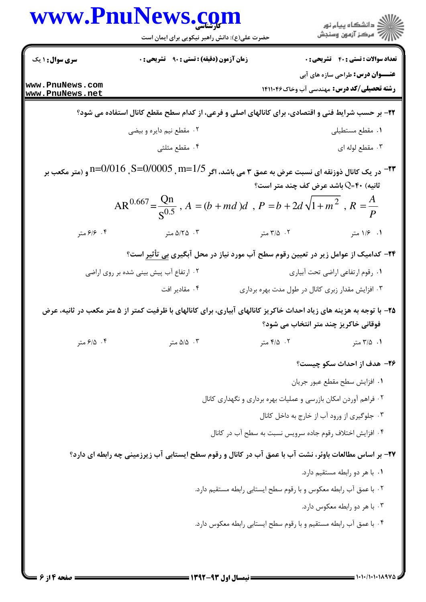| www.PnuNews.com                    |                                                                                                                                                            |                                                                                                         |                                                                                              |  |
|------------------------------------|------------------------------------------------------------------------------------------------------------------------------------------------------------|---------------------------------------------------------------------------------------------------------|----------------------------------------------------------------------------------------------|--|
|                                    | حضرت علی(ع): دانش راهبر نیکویی برای ایمان است                                                                                                              |                                                                                                         |                                                                                              |  |
| <b>سری سوال :</b> ۱ یک             | <b>زمان آزمون (دقیقه) : تستی : ۹۰ تشریحی : 0</b>                                                                                                           |                                                                                                         | <b>تعداد سوالات : تستی : 40 - تشریحی : 0</b>                                                 |  |
| www.PnuNews.com<br>www.PnuNews.net |                                                                                                                                                            |                                                                                                         | <b>عنـــوان درس:</b> طراحی سازه های آبی<br><b>رشته تحصیلی/کد درس: م</b> هندسی آب وخاک۱۴۱۱۰۴۶ |  |
|                                    | ۲۲- بر حسب شرایط فنی و اقتصادی، برای کانالهای اصلی و فرعی، از کدام سطح مقطع کانال استفاده می شود؟                                                          |                                                                                                         |                                                                                              |  |
|                                    | ۰۲ مقطع نیم دایره و بیضی                                                                                                                                   |                                                                                                         | ٠١ مقطع مستطيلي                                                                              |  |
|                                    | ۰۴ مقطع مثلثی                                                                                                                                              |                                                                                                         | ۰۳ مقطع لوله ای                                                                              |  |
|                                    | 1/5_m=1/5 ,0−0/016 p=0/016 و (متر مكعب بر<br>AR <sup>0.667</sup> = $\frac{Qn}{S^{0.5}}$ , A = $(b + md)d$ , P = $b + 2d\sqrt{1 + m^2}$ , R = $\frac{A}{P}$ | <b>۳۳</b> - در یک کانال ذوزنقه ای نسبت عرض به عمق ۳ می باشد، اگر<br>انیه) ۴۰=Q باشد عرض کف چند متر است؟ |                                                                                              |  |
| ۰۴ ۶/۶ متر                         | ۵/۲۵ ۰۳ متر                                                                                                                                                | ۰۲ متر                                                                                                  | ۰۱ ۱/۶ متر                                                                                   |  |
|                                    |                                                                                                                                                            | <b>۲۴</b> – کدامیک از عوامل زیر در تعیین رقوم سطح آب مورد نیاز در محل آبگیری <u>بی</u> تأثیر است؟       |                                                                                              |  |
|                                    | ۰۲ ارتفاع آب پیش بینی شده بر روی اراضی                                                                                                                     |                                                                                                         | ٠١ رقوم ارتفاعي اراضي تحت أبياري                                                             |  |
|                                    | ۰۴ مقادیر افت                                                                                                                                              | ۰۳ افزایش مقدار زبری کانال در طول مدت بهره برداری                                                       |                                                                                              |  |
|                                    | ۲۵– با توجه به هزینه های زیاد احداث خاکریز کانالهای آبیاری، برای کانالهای با ظرفیت کمتر از ۵ متر مکعب در ثانیه، عرض                                        |                                                                                                         | فوقانی خاکریز چند متر انتخاب می شود؟                                                         |  |
| ۰۴ ه.تر                            | ۰۳ ه/۵ متر                                                                                                                                                 | ۰۲ ۱۵ متر                                                                                               | ۰۱ ۲/۵ متر                                                                                   |  |
|                                    |                                                                                                                                                            |                                                                                                         | ۲۶- هدف از احداث سکو چیست؟                                                                   |  |
|                                    |                                                                                                                                                            |                                                                                                         |                                                                                              |  |
|                                    |                                                                                                                                                            |                                                                                                         | ٠١ افزايش سطح مقطع عبور جريان                                                                |  |
|                                    |                                                                                                                                                            | ۰۲ فراهم آوردن امکان بازرسی و عملیات بهره برداری و نگهداری کانال                                        |                                                                                              |  |
|                                    |                                                                                                                                                            |                                                                                                         | ۰۳ جلوگیری از ورود آب از خارج به داخل کانال                                                  |  |
|                                    |                                                                                                                                                            | ۰۴ افزایش اختلاف رقوم جاده سرویس نسبت به سطح آب در کانال                                                |                                                                                              |  |
|                                    | 37- بر اساس مطالعات باوئر، نشت آب با عمق آب در کانال و رقوم سطح ایستابی آب زیرزمینی چه رابطه ای دارد؟                                                      |                                                                                                         |                                                                                              |  |
|                                    |                                                                                                                                                            |                                                                                                         | ۰۱ با هر دو رابطه مستقیم دارد.                                                               |  |
|                                    |                                                                                                                                                            | ٢. با عمق آب رابطه معكوس و با رقوم سطح ايستابي رابطه مستقيم دارد.                                       |                                                                                              |  |
|                                    |                                                                                                                                                            |                                                                                                         | ۰۳ با هر دو رابطه معکوس دارد.                                                                |  |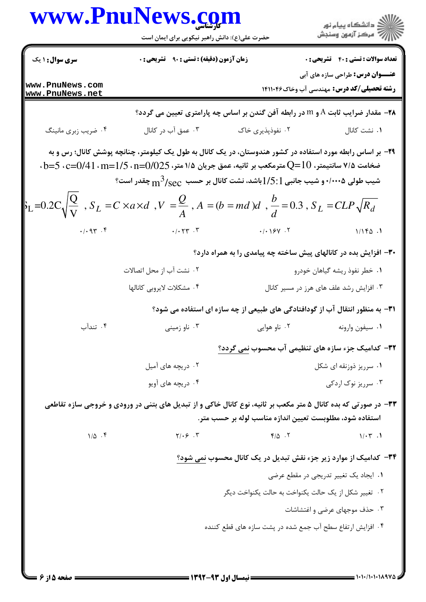